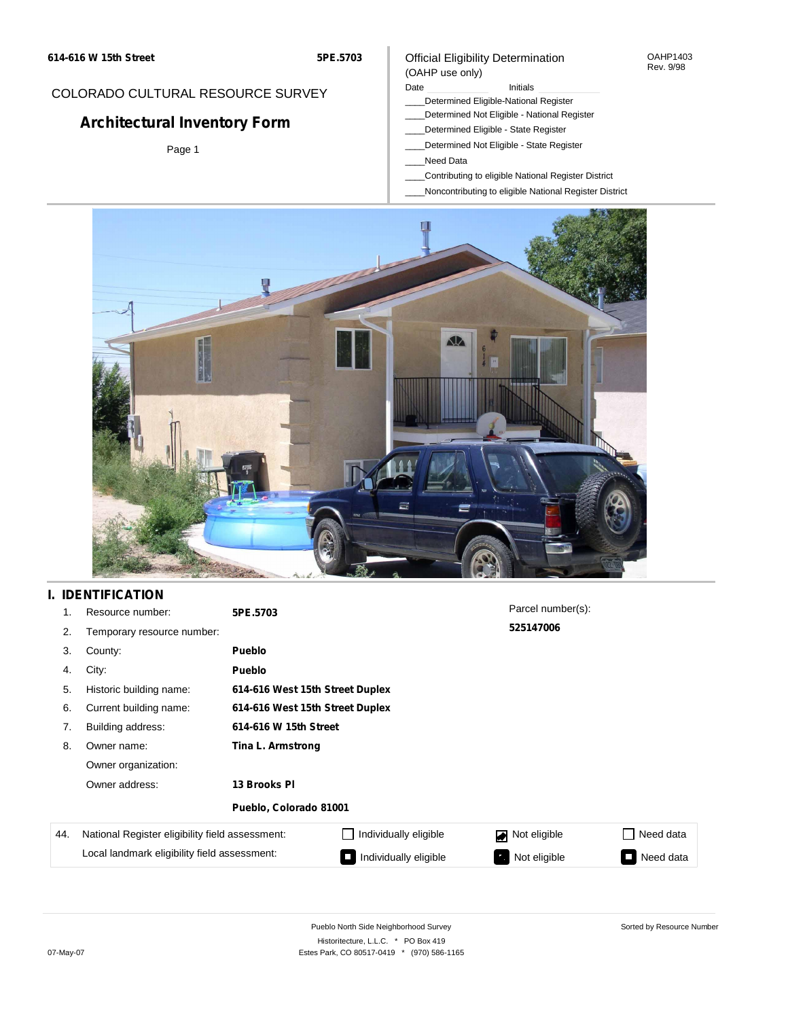## COLORADO CULTURAL RESOURCE SURVEY

# **Architectural Inventory Form**

Page 1

## Official Eligibility Determination (OAHP use only)

## Date **Initials** Initials

- \_\_\_\_Determined Eligible-National Register
- \_\_\_\_Determined Not Eligible National Register
- \_\_\_\_Determined Eligible State Register
- \_\_\_\_Determined Not Eligible State Register
- \_\_\_\_Need Data
- \_\_\_\_Contributing to eligible National Register District
- \_\_\_\_Noncontributing to eligible National Register District



# **I. IDENTIFICATION**

| 1.  | Resource number:                                | 5PE.5703               |                                 | Parcel number(s): |                                       |  |  |  |
|-----|-------------------------------------------------|------------------------|---------------------------------|-------------------|---------------------------------------|--|--|--|
| 2.  | Temporary resource number:                      |                        |                                 | 525147006         |                                       |  |  |  |
| 3.  | County:                                         | <b>Pueblo</b>          |                                 |                   |                                       |  |  |  |
| 4.  | City:                                           | <b>Pueblo</b>          |                                 |                   |                                       |  |  |  |
| 5.  | Historic building name:                         |                        | 614-616 West 15th Street Duplex |                   |                                       |  |  |  |
| 6.  | Current building name:                          |                        | 614-616 West 15th Street Duplex |                   |                                       |  |  |  |
| 7.  | Building address:                               | 614-616 W 15th Street  |                                 |                   |                                       |  |  |  |
| 8.  | Owner name:                                     | Tina L. Armstrong      |                                 |                   |                                       |  |  |  |
|     | Owner organization:                             |                        |                                 |                   |                                       |  |  |  |
|     | Owner address:<br>13 Brooks PI                  |                        |                                 |                   |                                       |  |  |  |
|     |                                                 | Pueblo, Colorado 81001 |                                 |                   |                                       |  |  |  |
| 44. | National Register eligibility field assessment: |                        | Individually eligible           | Not eligible      | Need data<br>$\Box$                   |  |  |  |
|     | Local landmark eligibility field assessment:    |                        | Individually eligible           | Not eligible      | Need data<br>$\overline{\phantom{0}}$ |  |  |  |

OAHP1403 Rev. 9/98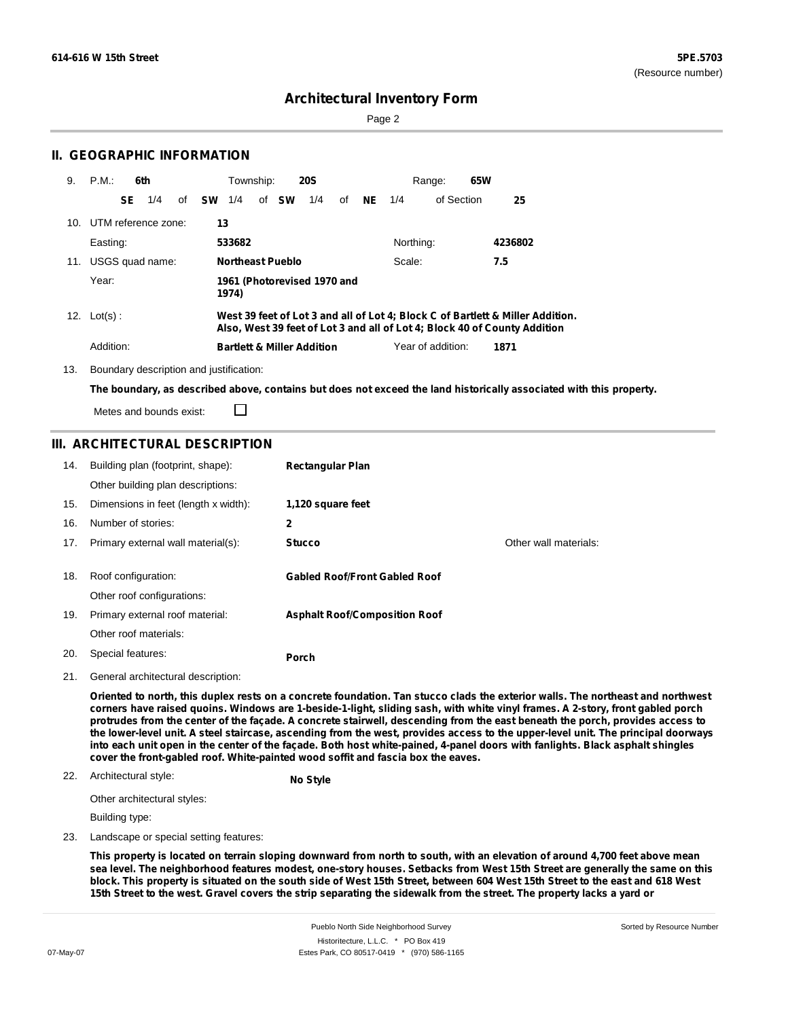Sorted by Resource Number

## **Architectural Inventory Form**

Page 2

## **II. GEOGRAPHIC INFORMATION**

| 9.  | P.M.                    | 6th |     |              | Township: |                         | <b>20S</b>                            |    |           | Range:            | 65W                                                                                                                                                         |  |
|-----|-------------------------|-----|-----|--------------|-----------|-------------------------|---------------------------------------|----|-----------|-------------------|-------------------------------------------------------------------------------------------------------------------------------------------------------------|--|
|     |                         | SE  | 1/4 | of <b>SW</b> | 1/4       | of <b>SW</b>            | 1/4                                   | of | $NE$ 1/4  | of Section        | 25                                                                                                                                                          |  |
|     | 10. UTM reference zone: |     |     | 13           |           |                         |                                       |    |           |                   |                                                                                                                                                             |  |
|     | Easting:                |     |     |              | 533682    |                         |                                       |    | Northing: |                   | 4236802                                                                                                                                                     |  |
| 11. | USGS quad name:         |     |     |              |           | <b>Northeast Pueblo</b> |                                       |    | Scale:    |                   | 7.5                                                                                                                                                         |  |
|     | Year:                   |     |     |              | 1974)     |                         | 1961 (Photorevised 1970 and           |    |           |                   |                                                                                                                                                             |  |
|     | 12. $Lot(s)$ :          |     |     |              |           |                         |                                       |    |           |                   | West 39 feet of Lot 3 and all of Lot 4; Block C of Bartlett & Miller Addition.<br>Also, West 39 feet of Lot 3 and all of Lot 4; Block 40 of County Addition |  |
|     | Addition:               |     |     |              |           |                         | <b>Bartlett &amp; Miller Addition</b> |    |           | Year of addition: | 1871                                                                                                                                                        |  |

13. Boundary description and justification:

The boundary, as described above, contains but does not exceed the land historically associated with this property.

Metes and bounds exist:

## **III. ARCHITECTURAL DESCRIPTION**

□

| 14. | Building plan (footprint, shape):    | <b>Rectangular Plan</b>              |                       |
|-----|--------------------------------------|--------------------------------------|-----------------------|
|     | Other building plan descriptions:    |                                      |                       |
| 15. | Dimensions in feet (length x width): | 1,120 square feet                    |                       |
| 16. | Number of stories:                   | 2                                    |                       |
| 17. | Primary external wall material(s):   | <b>Stucco</b>                        | Other wall materials: |
|     |                                      |                                      |                       |
| 18. | Roof configuration:                  | <b>Gabled Roof/Front Gabled Roof</b> |                       |
|     | Other roof configurations:           |                                      |                       |
| 19. | Primary external roof material:      | <b>Asphalt Roof/Composition Roof</b> |                       |
|     | Other roof materials:                |                                      |                       |
| 20. | Special features:                    | <b>Porch</b>                         |                       |
|     |                                      |                                      |                       |

21. General architectural description:

Oriented to north, this duplex rests on a concrete foundation. Tan stucco clads the exterior walls. The northeast and northwest corners have raised quoins. Windows are 1-beside-1-light, sliding sash, with white vinyl frames. A 2-story, front gabled porch protrudes from the center of the façade. A concrete stairwell, descending from the east beneath the porch, provides access to the lower-level unit. A steel staircase, ascending from the west, provides access to the upper-level unit. The principal doorways into each unit open in the center of the façade. Both host white-pained, 4-panel doors with fanlights. Black asphalt shingles **cover the front-gabled roof. White-painted wood soffit and fascia box the eaves.**

#### 22. Architectural style:

**No Style**

Other architectural styles:

Building type:

23. Landscape or special setting features:

This property is located on terrain sloping downward from north to south, with an elevation of around 4,700 feet above mean sea level. The neighborhood features modest, one-story houses. Setbacks from West 15th Street are generally the same on this block. This property is situated on the south side of West 15th Street, between 604 West 15th Street to the east and 618 West 15th Street to the west. Gravel covers the strip separating the sidewalk from the street. The property lacks a yard or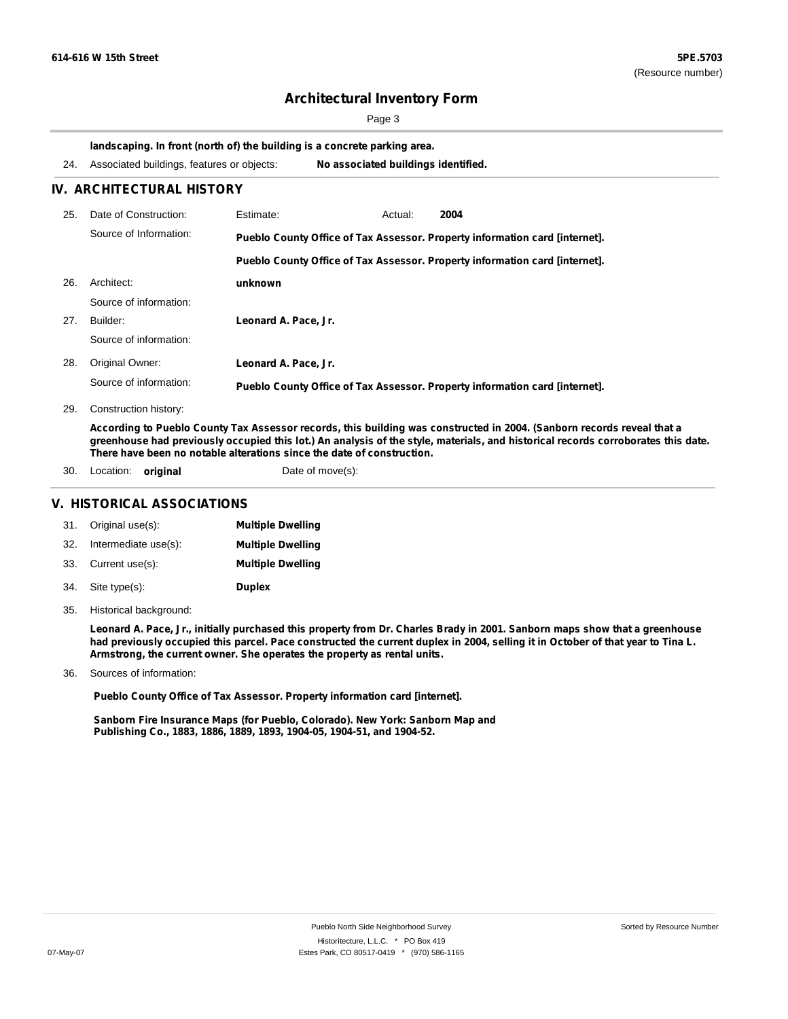Page 3

#### **landscaping. In front (north of) the building is a concrete parking area.**

|    | 24. Associated buildings, features or objects: |           | No associated buildings identified. |         |      |  |  |
|----|------------------------------------------------|-----------|-------------------------------------|---------|------|--|--|
|    | IV. ARCHITECTURAL HISTORY                      |           |                                     |         |      |  |  |
| 25 | Date of Construction:                          | Estimate: |                                     | Actual: | 2004 |  |  |

|     | Source of Information: | Pueblo County Office of Tax Assessor. Property information card [internet]. |  |  |  |
|-----|------------------------|-----------------------------------------------------------------------------|--|--|--|
|     |                        | Pueblo County Office of Tax Assessor. Property information card [internet]. |  |  |  |
| 26. | Architect:             | unknown                                                                     |  |  |  |
|     | Source of information: |                                                                             |  |  |  |
| 27. | Builder:               | Leonard A. Pace, Jr.                                                        |  |  |  |
|     | Source of information: |                                                                             |  |  |  |
| 28. | Original Owner:        | Leonard A. Pace, Jr.                                                        |  |  |  |
|     | Source of information: | Pueblo County Office of Tax Assessor. Property information card [internet]. |  |  |  |

29. Construction history:

According to Pueblo County Tax Assessor records, this building was constructed in 2004. (Sanborn records reveal that a greenhouse had previously occupied this lot.) An analysis of the style, materials, and historical records corroborates this date. **There have been no notable alterations since the date of construction.**

30. Location: **original** Date of move(s):

## **V. HISTORICAL ASSOCIATIONS**

|     | 31. Original use(s): | <b>Multiple Dwelling</b> |
|-----|----------------------|--------------------------|
| 32. | Intermediate use(s): | <b>Multiple Dwelling</b> |
|     | 33. Current use(s):  | <b>Multiple Dwelling</b> |
|     | 34. Site type(s):    | <b>Duplex</b>            |

35. Historical background:

Leonard A. Pace, Jr., initially purchased this property from Dr. Charles Brady in 2001. Sanborn maps show that a greenhouse had previously occupied this parcel. Pace constructed the current duplex in 2004, selling it in October of that year to Tina L. **Armstrong, the current owner. She operates the property as rental units.**

Sources of information: 36.

**Pueblo County Office of Tax Assessor. Property information card [internet].**

**Sanborn Fire Insurance Maps (for Pueblo, Colorado). New York: Sanborn Map and Publishing Co., 1883, 1886, 1889, 1893, 1904-05, 1904-51, and 1904-52.**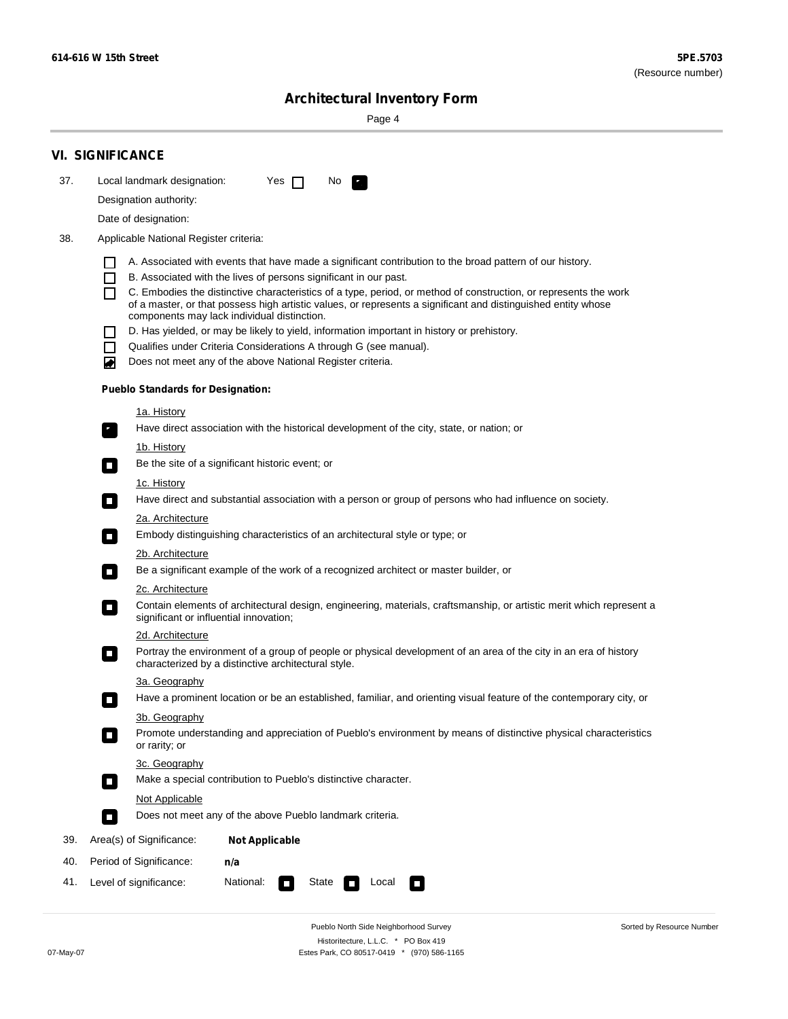۰

Sorted by Resource Number

# **Architectural Inventory Form**

Page 4

|     | <b>VI. SIGNIFICANCE</b>                                                                |                                          |                                                                                                                                                                              |  |  |  |  |
|-----|----------------------------------------------------------------------------------------|------------------------------------------|------------------------------------------------------------------------------------------------------------------------------------------------------------------------------|--|--|--|--|
| 37. |                                                                                        | Local landmark designation:              | Yes $\Box$<br>No.<br>$\mathcal{F}_\alpha$                                                                                                                                    |  |  |  |  |
|     | Designation authority:                                                                 |                                          |                                                                                                                                                                              |  |  |  |  |
|     |                                                                                        | Date of designation:                     |                                                                                                                                                                              |  |  |  |  |
| 38. |                                                                                        | Applicable National Register criteria:   |                                                                                                                                                                              |  |  |  |  |
|     |                                                                                        |                                          |                                                                                                                                                                              |  |  |  |  |
|     | H<br>$\Box$                                                                            |                                          | A. Associated with events that have made a significant contribution to the broad pattern of our history.<br>B. Associated with the lives of persons significant in our past. |  |  |  |  |
|     | П                                                                                      |                                          | C. Embodies the distinctive characteristics of a type, period, or method of construction, or represents the work                                                             |  |  |  |  |
|     |                                                                                        |                                          | of a master, or that possess high artistic values, or represents a significant and distinguished entity whose<br>components may lack individual distinction.                 |  |  |  |  |
|     |                                                                                        |                                          | D. Has yielded, or may be likely to yield, information important in history or prehistory.                                                                                   |  |  |  |  |
|     | $\blacksquare$                                                                         |                                          | Qualifies under Criteria Considerations A through G (see manual).                                                                                                            |  |  |  |  |
|     | ਵ                                                                                      |                                          | Does not meet any of the above National Register criteria.                                                                                                                   |  |  |  |  |
|     |                                                                                        | <b>Pueblo Standards for Designation:</b> |                                                                                                                                                                              |  |  |  |  |
|     |                                                                                        | 1a. History                              |                                                                                                                                                                              |  |  |  |  |
|     | $\mathbf{r}_\perp$                                                                     |                                          | Have direct association with the historical development of the city, state, or nation; or                                                                                    |  |  |  |  |
|     |                                                                                        | <u>1b. History</u>                       |                                                                                                                                                                              |  |  |  |  |
|     | $\Box$                                                                                 |                                          | Be the site of a significant historic event; or                                                                                                                              |  |  |  |  |
|     |                                                                                        | 1c. History                              |                                                                                                                                                                              |  |  |  |  |
|     | $\Box$                                                                                 |                                          | Have direct and substantial association with a person or group of persons who had influence on society.                                                                      |  |  |  |  |
|     |                                                                                        | 2a. Architecture                         |                                                                                                                                                                              |  |  |  |  |
|     | $\Box$                                                                                 |                                          | Embody distinguishing characteristics of an architectural style or type; or                                                                                                  |  |  |  |  |
|     |                                                                                        | 2b. Architecture                         |                                                                                                                                                                              |  |  |  |  |
|     | $\overline{\phantom{a}}$                                                               |                                          | Be a significant example of the work of a recognized architect or master builder, or                                                                                         |  |  |  |  |
|     |                                                                                        | 2c. Architecture                         | Contain elements of architectural design, engineering, materials, craftsmanship, or artistic merit which represent a                                                         |  |  |  |  |
|     | $\overline{\phantom{a}}$                                                               | significant or influential innovation;   |                                                                                                                                                                              |  |  |  |  |
|     |                                                                                        | 2d. Architecture                         |                                                                                                                                                                              |  |  |  |  |
|     | $\overline{\phantom{a}}$                                                               |                                          | Portray the environment of a group of people or physical development of an area of the city in an era of history<br>characterized by a distinctive architectural style.      |  |  |  |  |
|     |                                                                                        | 3a. Geography                            |                                                                                                                                                                              |  |  |  |  |
|     |                                                                                        |                                          | Have a prominent location or be an established, familiar, and orienting visual feature of the contemporary city, or                                                          |  |  |  |  |
|     |                                                                                        | 3b. Geography                            |                                                                                                                                                                              |  |  |  |  |
|     |                                                                                        | or rarity; or                            | Promote understanding and appreciation of Pueblo's environment by means of distinctive physical characteristics                                                              |  |  |  |  |
|     |                                                                                        | 3c. Geography                            |                                                                                                                                                                              |  |  |  |  |
|     | $\blacksquare$                                                                         |                                          | Make a special contribution to Pueblo's distinctive character.                                                                                                               |  |  |  |  |
|     |                                                                                        | Not Applicable                           |                                                                                                                                                                              |  |  |  |  |
|     | $\Box$                                                                                 |                                          | Does not meet any of the above Pueblo landmark criteria.                                                                                                                     |  |  |  |  |
| 39. |                                                                                        | Area(s) of Significance:                 | <b>Not Applicable</b>                                                                                                                                                        |  |  |  |  |
| 40. |                                                                                        | Period of Significance:                  | n/a                                                                                                                                                                          |  |  |  |  |
| 41. | National:<br>Level of significance:<br>State<br>Local<br>$\overline{\phantom{a}}$<br>n |                                          |                                                                                                                                                                              |  |  |  |  |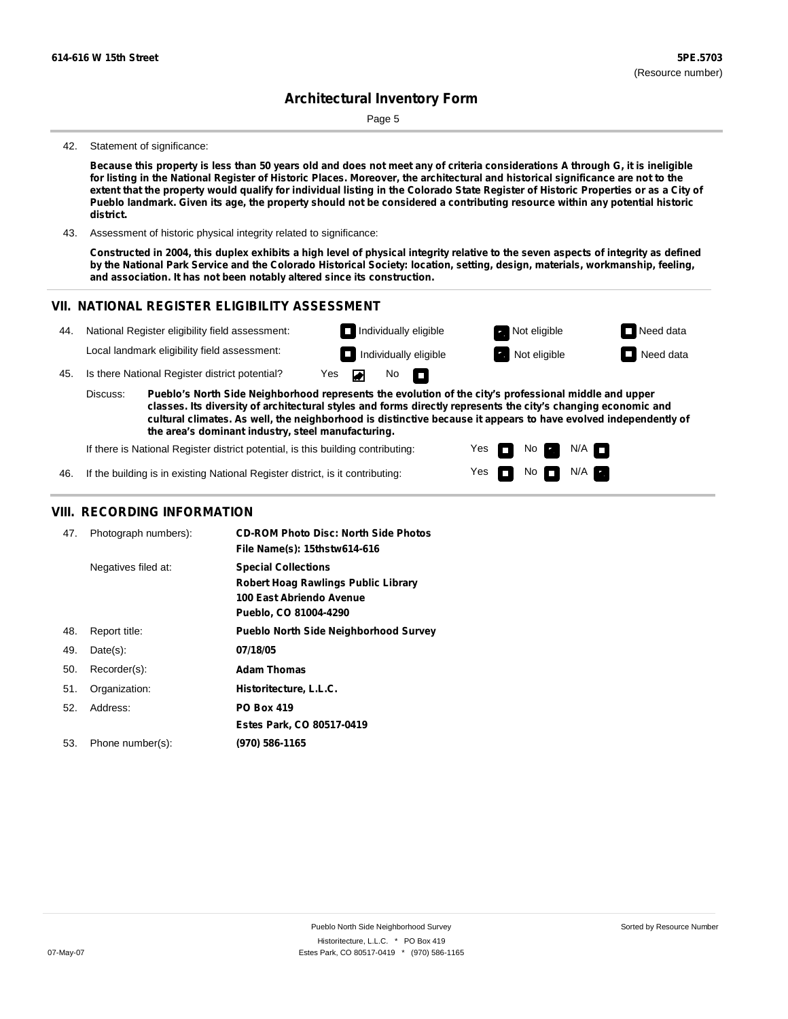Page 5

#### 42. Statement of significance:

Because this property is less than 50 years old and does not meet any of criteria considerations A through G, it is ineligible for listing in the National Register of Historic Places. Moreover, the architectural and historical significance are not to the extent that the property would qualify for individual listing in the Colorado State Register of Historic Properties or as a City of Pueblo landmark. Given its age, the property should not be considered a contributing resource within any potential historic **district.**

43. Assessment of historic physical integrity related to significance:

Constructed in 2004, this duplex exhibits a high level of physical integrity relative to the seven aspects of integrity as defined by the National Park Service and the Colorado Historical Society: location, setting, design, materials, workmanship, feeling, **and association. It has not been notably altered since its construction.**

> Yes Yes

m m No **Ex** 

 $N$ o  $N/A$ 

 $N/A$ 

### **VII. NATIONAL REGISTER ELIGIBILITY ASSESSMENT**



**the area's dominant industry, steel manufacturing.**

If there is National Register district potential, is this building contributing:

46. If the building is in existing National Register district, is it contributing:

### **VIII. RECORDING INFORMATION**

| 47. | Photograph numbers): | <b>CD-ROM Photo Disc: North Side Photos</b><br>File Name(s): 15thstw614-616                                            |
|-----|----------------------|------------------------------------------------------------------------------------------------------------------------|
|     | Negatives filed at:  | <b>Special Collections</b><br>Robert Hoag Rawlings Public Library<br>100 East Abriendo Avenue<br>Pueblo, CO 81004-4290 |
| 48. | Report title:        | <b>Pueblo North Side Neighborhood Survey</b>                                                                           |
| 49. | $Date(s)$ :          | 07/18/05                                                                                                               |
| 50. | Recorder(s):         | <b>Adam Thomas</b>                                                                                                     |
| 51. | Organization:        | Historitecture, L.L.C.                                                                                                 |
| 52. | Address:             | <b>PO Box 419</b>                                                                                                      |
|     |                      | Estes Park, CO 80517-0419                                                                                              |
| 53. | Phone number(s):     | (970) 586-1165                                                                                                         |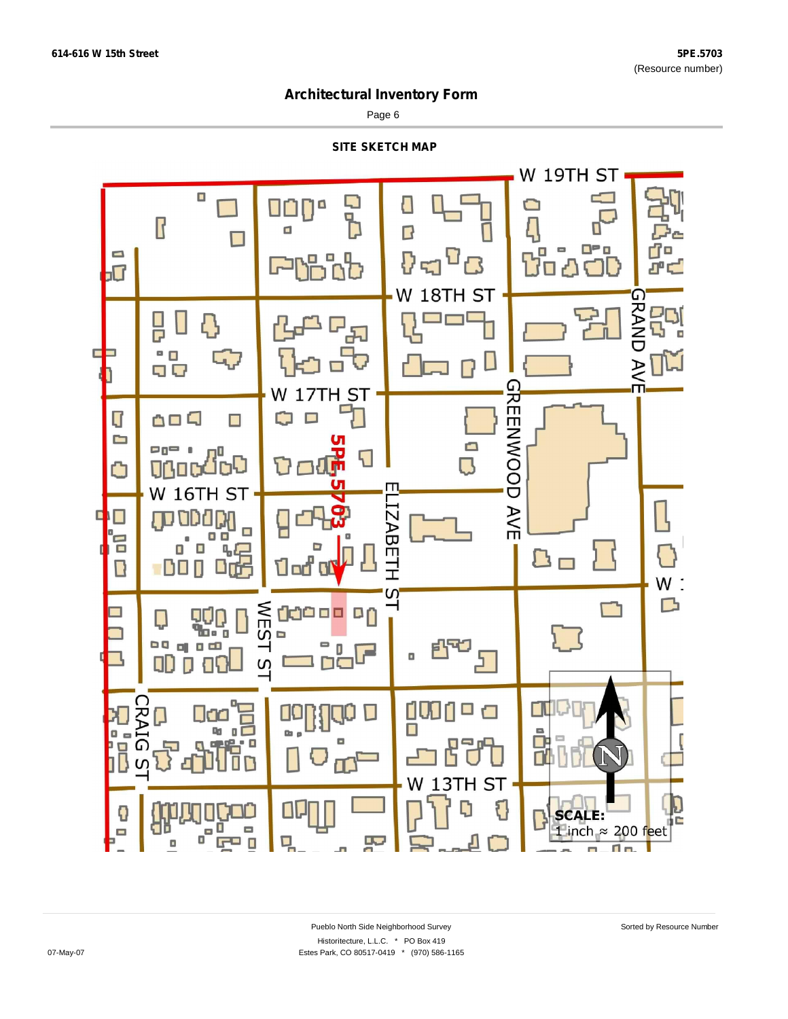Page 6